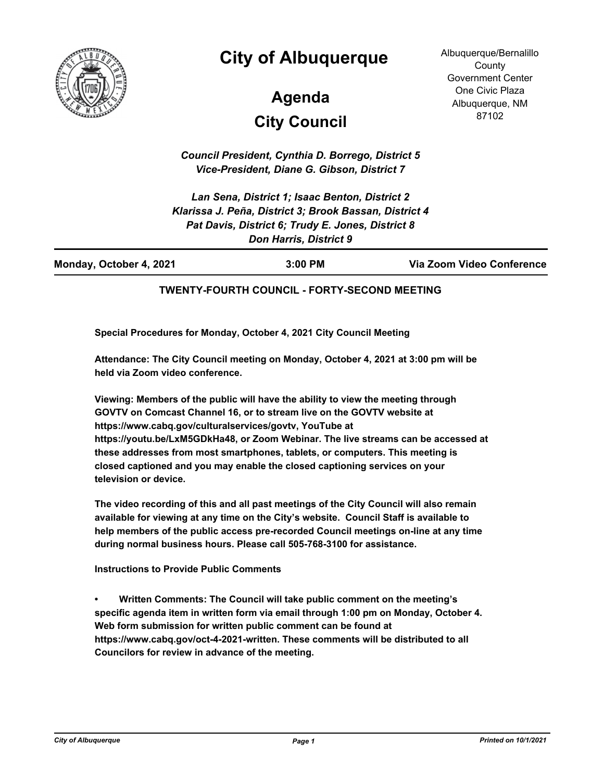

## **City of Albuquerque**

# **City Council Agenda**

Albuquerque/Bernalillo **County** Government Center One Civic Plaza Albuquerque, NM 87102

*Council President, Cynthia D. Borrego, District 5 Vice-President, Diane G. Gibson, District 7*

*Lan Sena, District 1; Isaac Benton, District 2 Klarissa J. Peña, District 3; Brook Bassan, District 4 Pat Davis, District 6; Trudy E. Jones, District 8 Don Harris, District 9*

| Monday, October 4, 2021 | 3:00 PM | Via Zoom Video Conference |
|-------------------------|---------|---------------------------|
|                         |         |                           |

#### **TWENTY-FOURTH COUNCIL - FORTY-SECOND MEETING**

**Special Procedures for Monday, October 4, 2021 City Council Meeting**

**Attendance: The City Council meeting on Monday, October 4, 2021 at 3:00 pm will be held via Zoom video conference.**

**Viewing: Members of the public will have the ability to view the meeting through GOVTV on Comcast Channel 16, or to stream live on the GOVTV website at https://www.cabq.gov/culturalservices/govtv, YouTube at https://youtu.be/LxM5GDkHa48, or Zoom Webinar. The live streams can be accessed at these addresses from most smartphones, tablets, or computers. This meeting is closed captioned and you may enable the closed captioning services on your television or device.**

**The video recording of this and all past meetings of the City Council will also remain available for viewing at any time on the City's website. Council Staff is available to help members of the public access pre-recorded Council meetings on-line at any time during normal business hours. Please call 505-768-3100 for assistance.**

**Instructions to Provide Public Comments**

**• Written Comments: The Council will take public comment on the meeting's specific agenda item in written form via email through 1:00 pm on Monday, October 4. Web form submission for written public comment can be found at https://www.cabq.gov/oct-4-2021-written. These comments will be distributed to all Councilors for review in advance of the meeting.**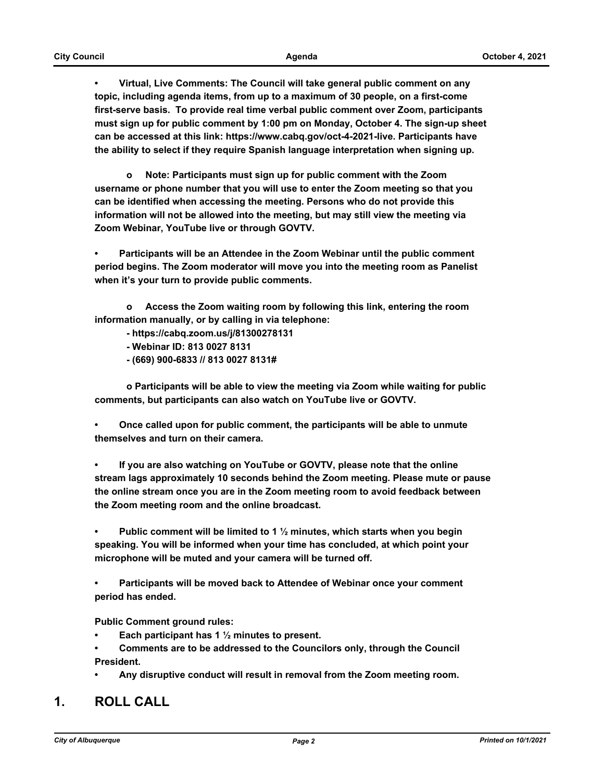**• Virtual, Live Comments: The Council will take general public comment on any topic, including agenda items, from up to a maximum of 30 people, on a first-come first-serve basis. To provide real time verbal public comment over Zoom, participants must sign up for public comment by 1:00 pm on Monday, October 4. The sign-up sheet can be accessed at this link: https://www.cabq.gov/oct-4-2021-live. Participants have the ability to select if they require Spanish language interpretation when signing up.**

 **o Note: Participants must sign up for public comment with the Zoom username or phone number that you will use to enter the Zoom meeting so that you can be identified when accessing the meeting. Persons who do not provide this information will not be allowed into the meeting, but may still view the meeting via Zoom Webinar, YouTube live or through GOVTV.**

**• Participants will be an Attendee in the Zoom Webinar until the public comment period begins. The Zoom moderator will move you into the meeting room as Panelist when it's your turn to provide public comments.** 

 **o Access the Zoom waiting room by following this link, entering the room information manually, or by calling in via telephone:** 

 **- https://cabq.zoom.us/j/81300278131**

- **Webinar ID: 813 0027 8131**
- **(669) 900-6833 // 813 0027 8131#**

 **o Participants will be able to view the meeting via Zoom while waiting for public comments, but participants can also watch on YouTube live or GOVTV.**

**• Once called upon for public comment, the participants will be able to unmute themselves and turn on their camera.**

**• If you are also watching on YouTube or GOVTV, please note that the online stream lags approximately 10 seconds behind the Zoom meeting. Please mute or pause the online stream once you are in the Zoom meeting room to avoid feedback between the Zoom meeting room and the online broadcast.**

**• Public comment will be limited to 1 ½ minutes, which starts when you begin speaking. You will be informed when your time has concluded, at which point your microphone will be muted and your camera will be turned off.**

**• Participants will be moved back to Attendee of Webinar once your comment period has ended.**

**Public Comment ground rules:**

- **Each participant has 1 ½ minutes to present.**
- **Comments are to be addressed to the Councilors only, through the Council President.**
- **Any disruptive conduct will result in removal from the Zoom meeting room.**

#### **1. ROLL CALL**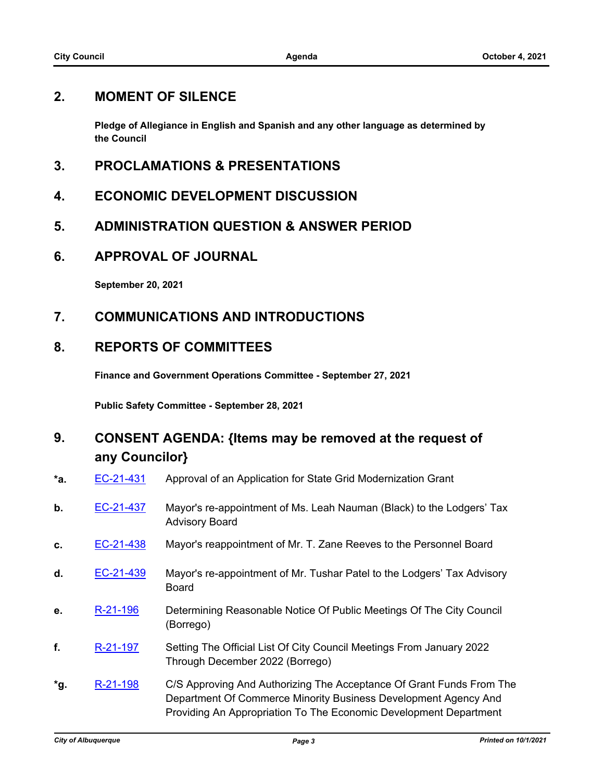### **2. MOMENT OF SILENCE**

**Pledge of Allegiance in English and Spanish and any other language as determined by the Council**

- **3. PROCLAMATIONS & PRESENTATIONS**
- **4. ECONOMIC DEVELOPMENT DISCUSSION**
- **5. ADMINISTRATION QUESTION & ANSWER PERIOD**
- **6. APPROVAL OF JOURNAL**

**September 20, 2021**

**7. COMMUNICATIONS AND INTRODUCTIONS**

#### **8. REPORTS OF COMMITTEES**

**Finance and Government Operations Committee - September 27, 2021**

**Public Safety Committee - September 28, 2021**

## **9. CONSENT AGENDA: {Items may be removed at the request of any Councilor}**

- **\*a.** [EC-21-431](http://cabq.legistar.com/gateway.aspx?m=l&id=/matter.aspx?key=12625) Approval of an Application for State Grid Modernization Grant
- **b.** [EC-21-437](http://cabq.legistar.com/gateway.aspx?m=l&id=/matter.aspx?key=12636) Mayor's re-appointment of Ms. Leah Nauman (Black) to the Lodgers' Tax Advisory Board
- **c.** [EC-21-438](http://cabq.legistar.com/gateway.aspx?m=l&id=/matter.aspx?key=12637) Mayor's reappointment of Mr. T. Zane Reeves to the Personnel Board
- **d.** [EC-21-439](http://cabq.legistar.com/gateway.aspx?m=l&id=/matter.aspx?key=12640) Mayor's re-appointment of Mr. Tushar Patel to the Lodgers' Tax Advisory Board
- **e.** [R-21-196](http://cabq.legistar.com/gateway.aspx?m=l&id=/matter.aspx?key=12638) Determining Reasonable Notice Of Public Meetings Of The City Council (Borrego)
- **f.** [R-21-197](http://cabq.legistar.com/gateway.aspx?m=l&id=/matter.aspx?key=12639) Setting The Official List Of City Council Meetings From January 2022 Through December 2022 (Borrego)
- **\*g.** [R-21-198](http://cabq.legistar.com/gateway.aspx?m=l&id=/matter.aspx?key=12641) C/S Approving And Authorizing The Acceptance Of Grant Funds From The Department Of Commerce Minority Business Development Agency And Providing An Appropriation To The Economic Development Department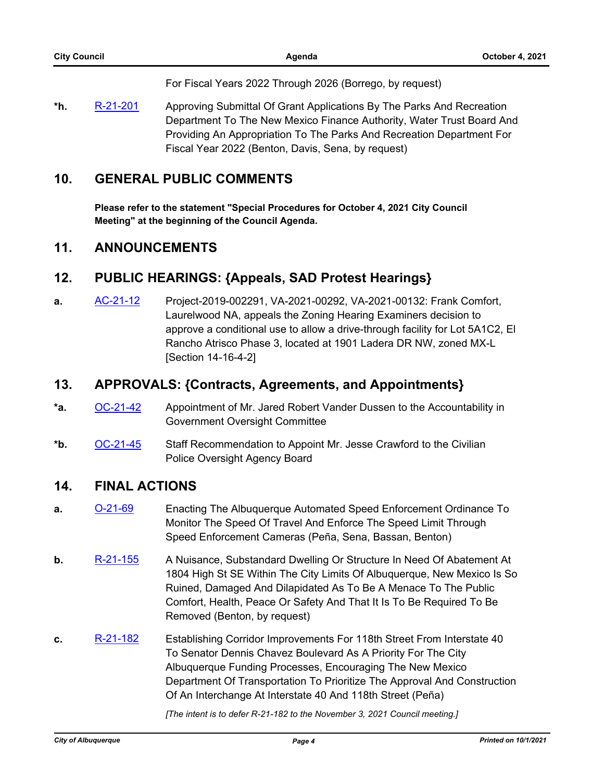For Fiscal Years 2022 Through 2026 (Borrego, by request)

**\*h.** [R-21-201](http://cabq.legistar.com/gateway.aspx?m=l&id=/matter.aspx?key=12644) Approving Submittal Of Grant Applications By The Parks And Recreation Department To The New Mexico Finance Authority, Water Trust Board And Providing An Appropriation To The Parks And Recreation Department For Fiscal Year 2022 (Benton, Davis, Sena, by request)

#### **10. GENERAL PUBLIC COMMENTS**

**Please refer to the statement "Special Procedures for October 4, 2021 City Council Meeting" at the beginning of the Council Agenda.**

#### **11. ANNOUNCEMENTS**

### **12. PUBLIC HEARINGS: {Appeals, SAD Protest Hearings}**

**a.** [AC-21-12](http://cabq.legistar.com/gateway.aspx?m=l&id=/matter.aspx?key=12603) Project-2019-002291, VA-2021-00292, VA-2021-00132: Frank Comfort, Laurelwood NA, appeals the Zoning Hearing Examiners decision to approve a conditional use to allow a drive-through facility for Lot 5A1C2, El Rancho Atrisco Phase 3, located at 1901 Ladera DR NW, zoned MX-L [Section 14-16-4-2]

#### **13. APPROVALS: {Contracts, Agreements, and Appointments}**

- **\*a.** [OC-21-42](http://cabq.legistar.com/gateway.aspx?m=l&id=/matter.aspx?key=12665) Appointment of Mr. Jared Robert Vander Dussen to the Accountability in Government Oversight Committee
- **\*b.** [OC-21-45](http://cabq.legistar.com/gateway.aspx?m=l&id=/matter.aspx?key=12669) Staff Recommendation to Appoint Mr. Jesse Crawford to the Civilian Police Oversight Agency Board

#### **14. FINAL ACTIONS**

- **a.** [O-21-69](http://cabq.legistar.com/gateway.aspx?m=l&id=/matter.aspx?key=12550) Enacting The Albuquerque Automated Speed Enforcement Ordinance To Monitor The Speed Of Travel And Enforce The Speed Limit Through Speed Enforcement Cameras (Peña, Sena, Bassan, Benton)
- **b.** [R-21-155](http://cabq.legistar.com/gateway.aspx?m=l&id=/matter.aspx?key=12448) A Nuisance, Substandard Dwelling Or Structure In Need Of Abatement At 1804 High St SE Within The City Limits Of Albuquerque, New Mexico Is So Ruined, Damaged And Dilapidated As To Be A Menace To The Public Comfort, Health, Peace Or Safety And That It Is To Be Required To Be Removed (Benton, by request)
- **c.** [R-21-182](http://cabq.legistar.com/gateway.aspx?m=l&id=/matter.aspx?key=12580) Establishing Corridor Improvements For 118th Street From Interstate 40 To Senator Dennis Chavez Boulevard As A Priority For The City Albuquerque Funding Processes, Encouraging The New Mexico Department Of Transportation To Prioritize The Approval And Construction Of An Interchange At Interstate 40 And 118th Street (Peña)

*[The intent is to defer R-21-182 to the November 3, 2021 Council meeting.]*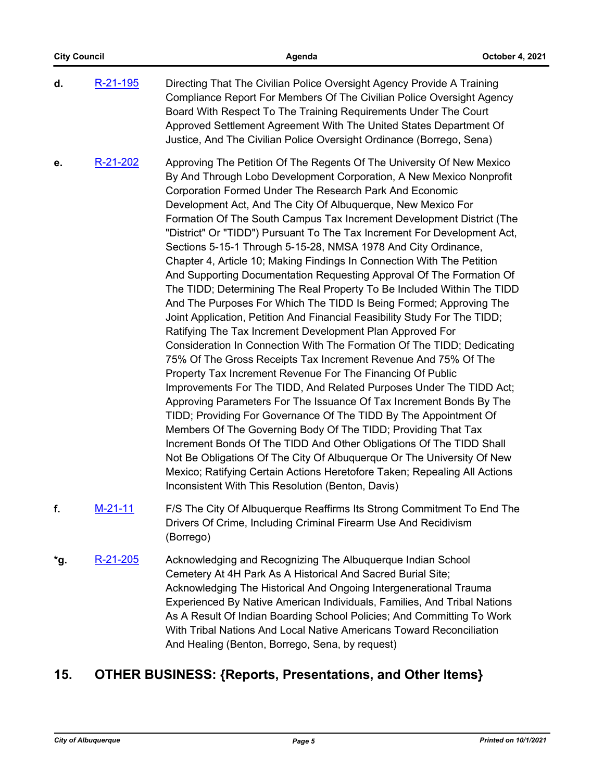| <b>City Council</b> |           | Agenda                                                                                                                                                                                                                                                                                                                                                                                                                                                                                                                                                                                                                                                                                                                                                                                                                                                                                                                                                                                                                                                                                                                                                                                                                                                                                                                                                                                                                                                                                                                                                                                                                                                                                                                     | October 4, 2021 |
|---------------------|-----------|----------------------------------------------------------------------------------------------------------------------------------------------------------------------------------------------------------------------------------------------------------------------------------------------------------------------------------------------------------------------------------------------------------------------------------------------------------------------------------------------------------------------------------------------------------------------------------------------------------------------------------------------------------------------------------------------------------------------------------------------------------------------------------------------------------------------------------------------------------------------------------------------------------------------------------------------------------------------------------------------------------------------------------------------------------------------------------------------------------------------------------------------------------------------------------------------------------------------------------------------------------------------------------------------------------------------------------------------------------------------------------------------------------------------------------------------------------------------------------------------------------------------------------------------------------------------------------------------------------------------------------------------------------------------------------------------------------------------------|-----------------|
| d.                  | R-21-195  | Directing That The Civilian Police Oversight Agency Provide A Training<br>Compliance Report For Members Of The Civilian Police Oversight Agency<br>Board With Respect To The Training Requirements Under The Court<br>Approved Settlement Agreement With The United States Department Of<br>Justice, And The Civilian Police Oversight Ordinance (Borrego, Sena)                                                                                                                                                                                                                                                                                                                                                                                                                                                                                                                                                                                                                                                                                                                                                                                                                                                                                                                                                                                                                                                                                                                                                                                                                                                                                                                                                           |                 |
| е.                  | R-21-202  | Approving The Petition Of The Regents Of The University Of New Mexico<br>By And Through Lobo Development Corporation, A New Mexico Nonprofit<br>Corporation Formed Under The Research Park And Economic<br>Development Act, And The City Of Albuquerque, New Mexico For<br>Formation Of The South Campus Tax Increment Development District (The<br>"District" Or "TIDD") Pursuant To The Tax Increment For Development Act,<br>Sections 5-15-1 Through 5-15-28, NMSA 1978 And City Ordinance,<br>Chapter 4, Article 10; Making Findings In Connection With The Petition<br>And Supporting Documentation Requesting Approval Of The Formation Of<br>The TIDD; Determining The Real Property To Be Included Within The TIDD<br>And The Purposes For Which The TIDD Is Being Formed; Approving The<br>Joint Application, Petition And Financial Feasibility Study For The TIDD;<br>Ratifying The Tax Increment Development Plan Approved For<br>Consideration In Connection With The Formation Of The TIDD; Dedicating<br>75% Of The Gross Receipts Tax Increment Revenue And 75% Of The<br>Property Tax Increment Revenue For The Financing Of Public<br>Improvements For The TIDD, And Related Purposes Under The TIDD Act;<br>Approving Parameters For The Issuance Of Tax Increment Bonds By The<br>TIDD; Providing For Governance Of The TIDD By The Appointment Of<br>Members Of The Governing Body Of The TIDD; Providing That Tax<br>Increment Bonds Of The TIDD And Other Obligations Of The TIDD Shall<br>Not Be Obligations Of The City Of Albuquerque Or The University Of New<br>Mexico; Ratifying Certain Actions Heretofore Taken; Repealing All Actions<br>Inconsistent With This Resolution (Benton, Davis) |                 |
| f.                  | $M-21-11$ | F/S The City Of Albuquerque Reaffirms Its Strong Commitment To End The<br>Drivers Of Crime, Including Criminal Firearm Use And Recidivism<br>(Borrego)                                                                                                                                                                                                                                                                                                                                                                                                                                                                                                                                                                                                                                                                                                                                                                                                                                                                                                                                                                                                                                                                                                                                                                                                                                                                                                                                                                                                                                                                                                                                                                     |                 |
| *g.                 | R-21-205  | Acknowledging and Recognizing The Albuquerque Indian School<br>Cemetery At 4H Park As A Historical And Sacred Burial Site;<br>Acknowledging The Historical And Ongoing Intergenerational Trauma<br>Experienced By Native American Individuals, Families, And Tribal Nations<br>As A Result Of Indian Boarding School Policies; And Committing To Work<br>With Tribal Nations And Local Native Americans Toward Reconciliation<br>And Healing (Benton, Borrego, Sena, by request)                                                                                                                                                                                                                                                                                                                                                                                                                                                                                                                                                                                                                                                                                                                                                                                                                                                                                                                                                                                                                                                                                                                                                                                                                                           |                 |

# **15. OTHER BUSINESS: {Reports, Presentations, and Other Items}**